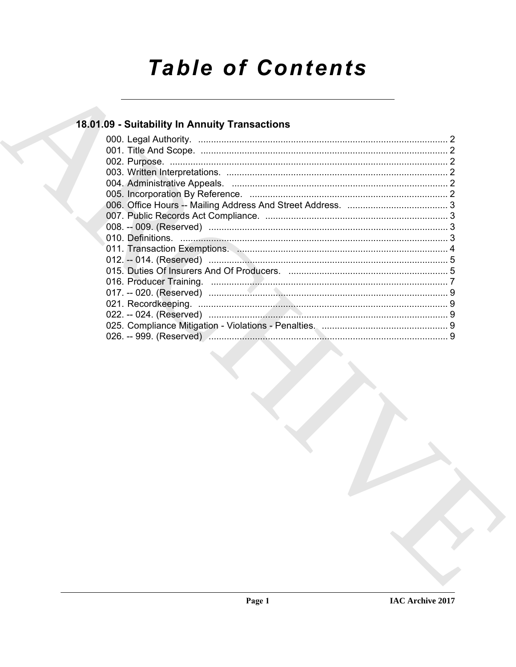# **Table of Contents**

## 18.01.09 - Suitability In Annuity Transactions

| 026. -- 999. (Reserved) manuscription (26. -- 999. (Reserved) manuscription (26. -- 999. (Reserved) |  |
|-----------------------------------------------------------------------------------------------------|--|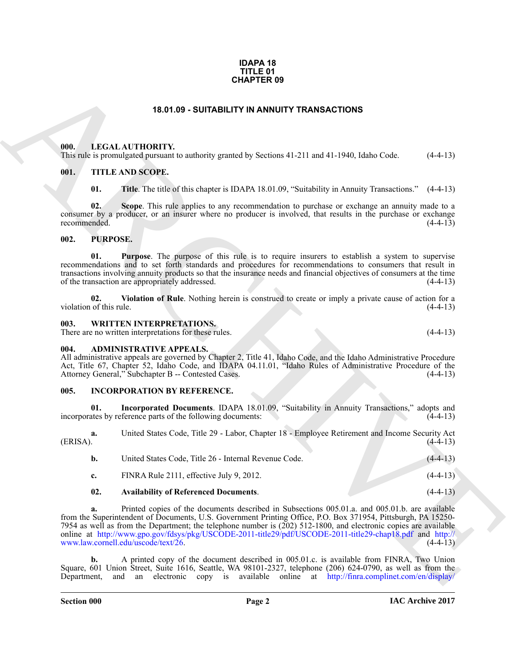### **IDAPA 18 TITLE 01 CHAPTER 09**

### **18.01.09 - SUITABILITY IN ANNUITY TRANSACTIONS**

### <span id="page-1-1"></span><span id="page-1-0"></span>**000. LEGAL AUTHORITY.**

This rule is promulgated pursuant to authority granted by Sections 41-211 and 41-1940, Idaho Code. (4-4-13)

### <span id="page-1-2"></span>**001. TITLE AND SCOPE.**

**01.** Title. The title of this chapter is IDAPA 18.01.09, "Suitability in Annuity Transactions."  $(4-4-13)$ 

**02. Scope**. This rule applies to any recommendation to purchase or exchange an annuity made to a consumer by a producer, or an insurer where no producer is involved, that results in the purchase or exchange recommended. (4-4-13) recommended.

### <span id="page-1-3"></span>**002. PURPOSE.**

**01. Purpose**. The purpose of this rule is to require insurers to establish a system to supervise recommendations and to set forth standards and procedures for recommendations to consumers that result in transactions involving annuity products so that the insurance needs and financial objectives of consumers at the time<br>of the transaction are appropriately addressed. (4-4-13) of the transaction are appropriately addressed.

**02.** Violation of Rule. Nothing herein is construed to create or imply a private cause of action for a of this rule. (4-4-13) violation of this rule.

### <span id="page-1-4"></span>**003. WRITTEN INTERPRETATIONS.**

There are no written interpretations for these rules. (4-4-13)

### <span id="page-1-5"></span>**004. ADMINISTRATIVE APPEALS.**

All administrative appeals are governed by Chapter 2, Title 41, Idaho Code, and the Idaho Administrative Procedure Act, Title 67, Chapter 52, Idaho Code, and IDAPA 04.11.01, "Idaho Rules of Administrative Procedure of the Attorney General," Subchapter B -- Contested Cases. (4-4-13) Attorney General," Subchapter B -- Contested Cases.

### <span id="page-1-7"></span><span id="page-1-6"></span>**005. INCORPORATION BY REFERENCE.**

**01.** Incorporated Documents. IDAPA 18.01.09, "Suitability in Annuity Transactions," adopts and ates by reference parts of the following documents: (4-4-13) incorporates by reference parts of the following documents:

| а.<br>(ERISA). | United States Code, Title 29 - Labor, Chapter 18 - Employee Retirement and Income Security Act | $(4-4-13)$ |
|----------------|------------------------------------------------------------------------------------------------|------------|
|                | United States Code, Title 26 - Internal Revenue Code.                                          | $(4-4-13)$ |

**c.** FINRA Rule 2111, effective July 9, 2012. (4-4-13)

### **02. Availability of Referenced Documents**. (4-4-13)

**CHAPT[E](http://finra.complinet.com/en/display/display_main.html?rbid=2403&element_id=9859)R 09**<br> **EXAL ALTHORITY:** IN ANNUITY TRANSACTIONS<br>
10.0. LECAL ALTHORITY: IN ANNUITY TRANSACTIONS<br>
10.0. THE AND SCOPE.<br>
10.1. THE AND SCOPE.<br>
10.1. THE AND SCOPE.<br>
10.1. THE AND SCOPE.<br>
10.1. Sepec This ends and re **a.** Printed copies of the documents described in Subsections 005.01.a. and 005.01.b. are available from the Superintendent of Documents, U.S. Government Printing Office, P.O. Box 371954, Pittsburgh, PA 15250- 7954 as well as from the Department; the telephone number is (202) 512-1800, and electronic copies are available online at http://www.gpo.gov/fdsys/pkg/USCODE-2011-title29/pdf/USCODE-2011-title29-chap18.pdf and http://<br>www.law.cornell.edu/uscode/text/26. (4-4-13) www.law.cornell.edu/uscode/text/26.

**b.** A printed copy of the document described in 005.01.c. is available from FINRA, Two Union Square, 601 Union Street, Suite 1616, Seattle, WA 98101-2327, telephone (206) 624-0790, as well as from the Department, and an electronic copy is available online at http://finra.complinet.com/en/display/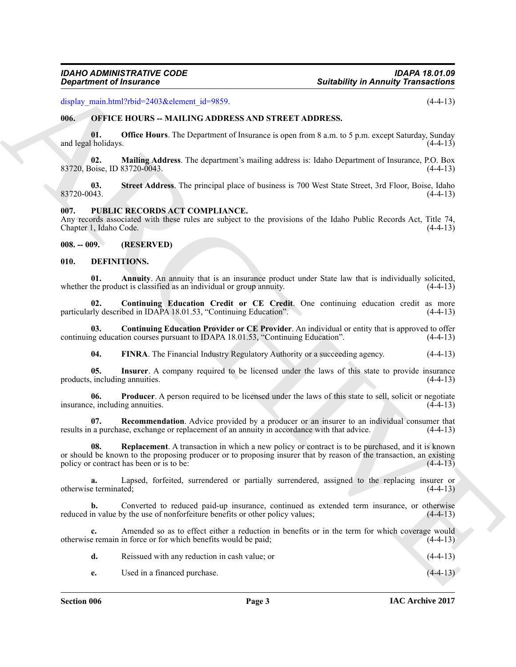display\_main.html?rbid=2403&element\_id=9859.  $(4-4-13)$ 

<span id="page-2-0"></span>**006. OFFICE HOURS -- MAILING ADDRESS AND STREET ADDRESS.**

**01. Office Hours**. The Department of Insurance is open from 8 a.m. to 5 p.m. except Saturday, Sunday (4-4-13) and legal holidays.

**02. Mailing Address**. The department's mailing address is: Idaho Department of Insurance, P.O. Box 83720, Boise, ID 83720-0043. (4-4-13)

**03.** Street Address. The principal place of business is 700 West State Street, 3rd Floor, Boise, Idaho (4-4-13) 83720-0043. (4-4-13)

### <span id="page-2-1"></span>**007. PUBLIC RECORDS ACT COMPLIANCE.**

Any records associated with these rules are subject to the provisions of the Idaho Public Records Act, Title 74, Chapter 1, Idaho Code. (4-4-13)

<span id="page-2-2"></span>**008. -- 009. (RESERVED)**

### <span id="page-2-4"></span><span id="page-2-3"></span>**010. DEFINITIONS.**

<span id="page-2-5"></span>**01.** Annuity. An annuity that is an insurance product under State law that is individually solicited, the product is classified as an individual or group annuity. (4-4-13) whether the product is classified as an individual or group annuity.

<span id="page-2-6"></span>**02. Continuing Education Credit or CE Credit**. One continuing education credit as more particularly described in IDAPA 18.01.53, "Continuing Education". (4-4-13)

**03. Continuing Education Provider or CE Provider**. An individual or entity that is approved to offer ng education courses pursuant to IDAPA 18.01.53, "Continuing Education". (4-4-13) continuing education courses pursuant to IDAPA 18.01.53, "Continuing Education".

<span id="page-2-10"></span><span id="page-2-9"></span><span id="page-2-8"></span><span id="page-2-7"></span>**04.** FINRA. The Financial Industry Regulatory Authority or a succeeding agency. (4-4-13)

**05. Insurer**. A company required to be licensed under the laws of this state to provide insurance products, including annuities. (4-4-13)

**06. Producer**. A person required to be licensed under the laws of this state to sell, solicit or negotiate e. including annuities. (4-4-13) insurance, including annuities.

<span id="page-2-12"></span><span id="page-2-11"></span>**07.** Recommendation. Advice provided by a producer or an insurer to an individual consumer that a purchase, exchange or replacement of an annuity in accordance with that advice. (4-4-13) results in a purchase, exchange or replacement of an annuity in accordance with that advice.

**Suitability in [A](http://finra.complinet.com/en/display/display_main.html?rbid=2403&element_id=9859)rming Control of Arming Control of Arms (Suitability in Arms in Control of Arms (4-1-1)<br>
And, c. GPPCK HOTES, S. NATI NG, ADDRESS, AND STREET AIDERS, (4-1-1)<br>
And, c. GPPCK HOTES, S. NATI NG, ADDRESS, AND 08.** Replacement. A transaction in which a new policy or contract is to be purchased, and it is known or should be known to the proposing producer or to proposing insurer that by reason of the transaction, an existing policy or contract has been or is to be: policy or contract has been or is to be:

**a.** Lapsed, forfeited, surrendered or partially surrendered, assigned to the replacing insurer or exerminated; (4-4-13) otherwise terminated;

**b.** Converted to reduced paid-up insurance, continued as extended term insurance, or otherwise in value by the use of nonforfeiture benefits or other policy values; reduced in value by the use of nonforfeiture benefits or other policy values;

**c.** Amended so as to effect either a reduction in benefits or in the term for which coverage would otherwise remain in force or for which benefits would be paid; (4-4-13)

| Reissued with any reduction in cash value; or | $(4-4-13)$ |
|-----------------------------------------------|------------|
| Used in a financed purchase.                  | $(4-4-13)$ |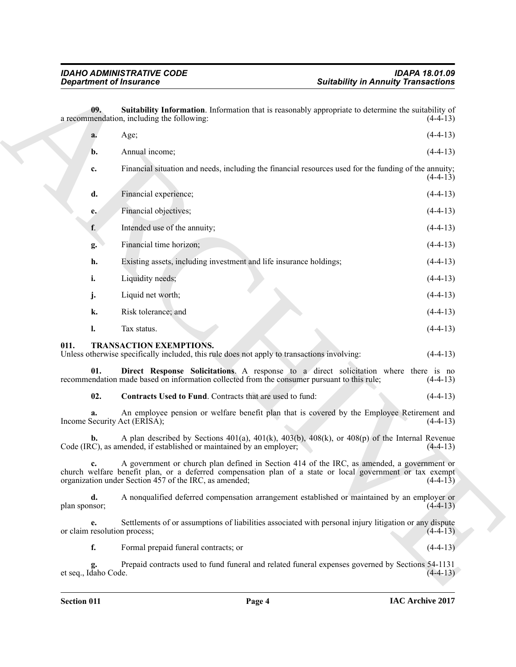<span id="page-3-4"></span><span id="page-3-3"></span><span id="page-3-2"></span><span id="page-3-1"></span><span id="page-3-0"></span>

|                                    | <b>Department of Insurance</b>                                                                                                                                                                                                                                    | <b>Suitability in Annuity Transactions</b> |
|------------------------------------|-------------------------------------------------------------------------------------------------------------------------------------------------------------------------------------------------------------------------------------------------------------------|--------------------------------------------|
| 09.                                | Suitability Information. Information that is reasonably appropriate to determine the suitability of<br>a recommendation, including the following:                                                                                                                 | $(4-4-13)$                                 |
| a.                                 | Age;                                                                                                                                                                                                                                                              | $(4-4-13)$                                 |
| b.                                 | Annual income;                                                                                                                                                                                                                                                    | $(4-4-13)$                                 |
| c.                                 | Financial situation and needs, including the financial resources used for the funding of the annuity;                                                                                                                                                             | $(4-4-13)$                                 |
| d.                                 | Financial experience;                                                                                                                                                                                                                                             | $(4-4-13)$                                 |
| e.                                 | Financial objectives;                                                                                                                                                                                                                                             | $(4-4-13)$                                 |
| f.                                 | Intended use of the annuity;                                                                                                                                                                                                                                      | $(4-4-13)$                                 |
| g.                                 | Financial time horizon;                                                                                                                                                                                                                                           | $(4-4-13)$                                 |
| h.                                 | Existing assets, including investment and life insurance holdings;                                                                                                                                                                                                | $(4-4-13)$                                 |
| i.                                 | Liquidity needs;                                                                                                                                                                                                                                                  | $(4-4-13)$                                 |
| j.                                 | Liquid net worth;                                                                                                                                                                                                                                                 | $(4-4-13)$                                 |
| k.                                 | Risk tolerance; and                                                                                                                                                                                                                                               | $(4-4-13)$                                 |
| 1.                                 | Tax status.                                                                                                                                                                                                                                                       | $(4-4-13)$                                 |
| 011.                               | <b>TRANSACTION EXEMPTIONS.</b><br>Unless otherwise specifically included, this rule does not apply to transactions involving:                                                                                                                                     | $(4-4-13)$                                 |
| 01.                                | Direct Response Solicitations. A response to a direct solicitation where there is no<br>recommendation made based on information collected from the consumer pursuant to this rule;                                                                               | $(4-4-13)$                                 |
| 02.                                | Contracts Used to Fund. Contracts that are used to fund:                                                                                                                                                                                                          | $(4-4-13)$                                 |
| a.                                 | An employee pension or welfare benefit plan that is covered by the Employee Retirement and<br>Income Security Act (ERISA);                                                                                                                                        | $(4-4-13)$                                 |
|                                    | A plan described by Sections $401(a)$ , $401(k)$ , $403(b)$ , $408(k)$ , or $408(p)$ of the Internal Revenue<br>Code (IRC), as amended, if established or maintained by an employer;                                                                              | $(4-4-13)$                                 |
| c.                                 | A government or church plan defined in Section 414 of the IRC, as amended, a government or<br>church welfare benefit plan, or a deferred compensation plan of a state or local government or tax exempt<br>organization under Section 457 of the IRC, as amended; | $(4-4-13)$                                 |
| d.<br>plan sponsor;                | A nonqualified deferred compensation arrangement established or maintained by an employer or                                                                                                                                                                      | $(4-4-13)$                                 |
| e.<br>or claim resolution process; | Settlements of or assumptions of liabilities associated with personal injury litigation or any dispute                                                                                                                                                            | $(4-4-13)$                                 |
| f.                                 | Formal prepaid funeral contracts; or                                                                                                                                                                                                                              | $(4-4-13)$                                 |
|                                    | Prepaid contracts used to fund funeral and related funeral expenses governed by Sections 54-1131                                                                                                                                                                  |                                            |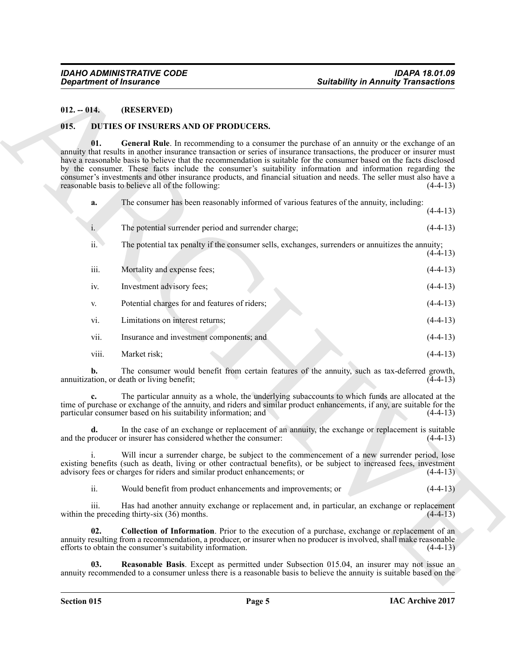### <span id="page-4-0"></span>**012. -- 014. (RESERVED)**

### <span id="page-4-5"></span><span id="page-4-4"></span><span id="page-4-3"></span><span id="page-4-2"></span><span id="page-4-1"></span>**015. DUTIES OF INSURERS AND OF PRODUCERS.**

|                | <b>Department of Insurance</b>                                                                                       | <b>Suitability in Annuity Transactions</b>                                                                                                                                                                                                                                                                                                                                                                                                                                                                                                                                          |            |
|----------------|----------------------------------------------------------------------------------------------------------------------|-------------------------------------------------------------------------------------------------------------------------------------------------------------------------------------------------------------------------------------------------------------------------------------------------------------------------------------------------------------------------------------------------------------------------------------------------------------------------------------------------------------------------------------------------------------------------------------|------------|
| $012. - 014.$  | (RESERVED)                                                                                                           |                                                                                                                                                                                                                                                                                                                                                                                                                                                                                                                                                                                     |            |
| 015.           | DUTIES OF INSURERS AND OF PRODUCERS.                                                                                 |                                                                                                                                                                                                                                                                                                                                                                                                                                                                                                                                                                                     |            |
| 01.            | reasonable basis to believe all of the following:                                                                    | General Rule. In recommending to a consumer the purchase of an annuity or the exchange of an<br>annuity that results in another insurance transaction or series of insurance transactions, the producer or insurer must<br>have a reasonable basis to believe that the recommendation is suitable for the consumer based on the facts disclosed<br>by the consumer. These facts include the consumer's suitability information and information regarding the<br>consumer's investments and other insurance products, and financial situation and needs. The seller must also have a | $(4-4-13)$ |
| a.             |                                                                                                                      | The consumer has been reasonably informed of various features of the annuity, including:                                                                                                                                                                                                                                                                                                                                                                                                                                                                                            | $(4-4-13)$ |
| $\mathbf{i}$ . | The potential surrender period and surrender charge;                                                                 |                                                                                                                                                                                                                                                                                                                                                                                                                                                                                                                                                                                     | $(4-4-13)$ |
| ii.            |                                                                                                                      | The potential tax penalty if the consumer sells, exchanges, surrenders or annuitizes the annuity;                                                                                                                                                                                                                                                                                                                                                                                                                                                                                   | $(4-4-13)$ |
| iii.           | Mortality and expense fees;                                                                                          |                                                                                                                                                                                                                                                                                                                                                                                                                                                                                                                                                                                     | $(4-4-13)$ |
| iv.            | Investment advisory fees;                                                                                            |                                                                                                                                                                                                                                                                                                                                                                                                                                                                                                                                                                                     | $(4-4-13)$ |
| V.             | Potential charges for and features of riders;                                                                        |                                                                                                                                                                                                                                                                                                                                                                                                                                                                                                                                                                                     | $(4-4-13)$ |
| vi.            | Limitations on interest returns;                                                                                     |                                                                                                                                                                                                                                                                                                                                                                                                                                                                                                                                                                                     | $(4-4-13)$ |
| vii.           | Insurance and investment components; and                                                                             |                                                                                                                                                                                                                                                                                                                                                                                                                                                                                                                                                                                     | $(4-4-13)$ |
| viii.          | Market risk;                                                                                                         |                                                                                                                                                                                                                                                                                                                                                                                                                                                                                                                                                                                     | $(4-4-13)$ |
| b.             | annuitization, or death or living benefit;                                                                           | The consumer would benefit from certain features of the annuity, such as tax-deferred growth,                                                                                                                                                                                                                                                                                                                                                                                                                                                                                       | $(4-4-13)$ |
|                | particular consumer based on his suitability information; and                                                        | The particular annuity as a whole, the underlying subaccounts to which funds are allocated at the<br>time of purchase or exchange of the annuity, and riders and similar product enhancements, if any, are suitable for the                                                                                                                                                                                                                                                                                                                                                         | $(4-4-13)$ |
| d.             | and the producer or insurer has considered whether the consumer:                                                     | In the case of an exchange or replacement of an annuity, the exchange or replacement is suitable                                                                                                                                                                                                                                                                                                                                                                                                                                                                                    | $(4-4-13)$ |
|                | advisory fees or charges for riders and similar product enhancements; or                                             | Will incur a surrender charge, be subject to the commencement of a new surrender period, lose<br>existing benefits (such as death, living or other contractual benefits), or be subject to increased fees, investment                                                                                                                                                                                                                                                                                                                                                               | $(4-4-13)$ |
| ii.            | Would benefit from product enhancements and improvements; or                                                         |                                                                                                                                                                                                                                                                                                                                                                                                                                                                                                                                                                                     | $(4-4-13)$ |
| iii.           | within the preceding thirty-six (36) months.                                                                         | Has had another annuity exchange or replacement and, in particular, an exchange or replacement                                                                                                                                                                                                                                                                                                                                                                                                                                                                                      | $(4-4-13)$ |
| 02.            | efforts to obtain the consumer's suitability information.                                                            | <b>Collection of Information</b> . Prior to the execution of a purchase, exchange or replacement of an<br>annuity resulting from a recommendation, a producer, or insurer when no producer is involved, shall make reasonable                                                                                                                                                                                                                                                                                                                                                       | $(4-4-13)$ |
| 03.            | annuity recommended to a consumer unless there is a reasonable basis to believe the annuity is suitable based on the | Reasonable Basis. Except as permitted under Subsection 015.04, an insurer may not issue an                                                                                                                                                                                                                                                                                                                                                                                                                                                                                          |            |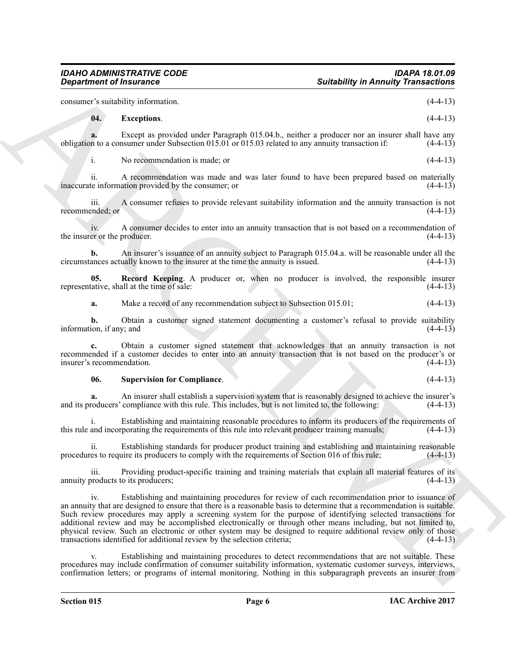consumer's suitability information. (4-4-13) **04. Exceptions**. (4-4-13)

**a.** Except as provided under Paragraph 015.04.b., neither a producer nor an insurer shall have any obligation to a consumer under Subsection 015.01 or 015.03 related to any annuity transaction if: (4-4-13)

<span id="page-5-0"></span>i. No recommendation is made; or (4-4-13)

ii. A recommendation was made and was later found to have been prepared based on materially te information provided by the consumer; or inaccurate information provided by the consumer; or

iii. A consumer refuses to provide relevant suitability information and the annuity transaction is not recommended; or

iv. A consumer decides to enter into an annuity transaction that is not based on a recommendation of er or the producer. (4-4-13) the insurer or the producer.

**b.** An insurer's issuance of an annuity subject to Paragraph 015.04.a. will be reasonable under all the annuity subject to Paragraph 015.04.a. will be reasonable under all the annuity is issued. circumstances actually known to the insurer at the time the annuity is issued.

**05. Record Keeping**. A producer or, when no producer is involved, the responsible insurer tative, shall at the time of sale: (4-4-13) representative, shall at the time of sale:

<span id="page-5-1"></span>**a.** Make a record of any recommendation subject to Subsection 015.01; (4-4-13)

**b.** Obtain a customer signed statement documenting a customer's refusal to provide suitability ion, if any; and (4-4-13) information, if any; and

**c.** Obtain a customer signed statement that acknowledges that an annuity transaction is not recommended if a customer decides to enter into an annuity transaction that is not based on the producer's or insurer's recommendation.

### <span id="page-5-2"></span>**06. Supervision for Compliance**. (4-4-13)

**a.** An insurer shall establish a supervision system that is reasonably designed to achieve the insurer's roducers' compliance with this rule. This includes, but is not limited to, the following: (4-4-13) and its producers' compliance with this rule. This includes, but is not limited to, the following:

Establishing and maintaining reasonable procedures to inform its producers of the requirements of porating the requirements of this rule into relevant producer training manuals; (4-4-13) this rule and incorporating the requirements of this rule into relevant producer training manuals;

ii. Establishing standards for producer product training and establishing and maintaining reasonable procedures to require its producers to comply with the requirements of Section 016 of this rule; (4-4-13)

iii. Providing product-specific training and training materials that explain all material features of its producers: (4-4-13) annuity products to its producers;

**Suitability in Annually Transactions**<br>
Suitability in Annually Transactions<br>  $\vec{A} = \vec{A}$ . The summarization of the summarization of the summarization of the summarization of the summarization in the summarization in th Establishing and maintaining procedures for review of each recommendation prior to issuance of an annuity that are designed to ensure that there is a reasonable basis to determine that a recommendation is suitable. Such review procedures may apply a screening system for the purpose of identifying selected transactions for additional review and may be accomplished electronically or through other means including, but not limited to, physical review. Such an electronic or other system may be designed to require additional review only of those transactions identified for additional review by the selection criteria; (4-4-13) transactions identified for additional review by the selection criteria;

v. Establishing and maintaining procedures to detect recommendations that are not suitable. These procedures may include confirmation of consumer suitability information, systematic customer surveys, interviews, confirmation letters; or programs of internal monitoring. Nothing in this subparagraph prevents an insurer from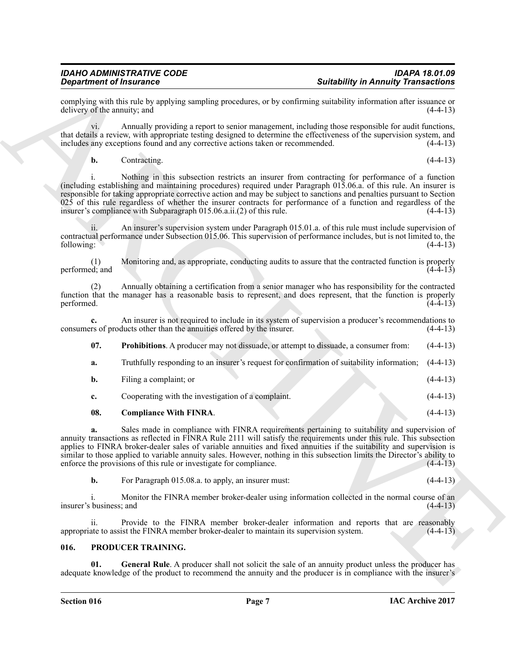complying with this rule by applying sampling procedures, or by confirming suitability information after issuance or delivery of the annuity; and

vi. Annually providing a report to senior management, including those responsible for audit functions, that details a review, with appropriate testing designed to determine the effectiveness of the supervision system, and includes any exceptions found and any corrective actions taken or recommended. (4-4-13)

**b.** Contracting. (4-4-13)

**Symbolisty in Amendia, Conservation**, and the symbolisty in Amendia Transactions and the symbolisty of the symbolisty of the symbolisty of the symbolisty of the symbolisty of the symbolisty of the symbolisty of the symbo i. Nothing in this subsection restricts an insurer from contracting for performance of a function (including establishing and maintaining procedures) required under Paragraph 015.06.a. of this rule. An insurer is responsible for taking appropriate corrective action and may be subject to sanctions and penalties pursuant to Section  $025$  of this rule regardless of whether the insurer contracts for performance of a function and regardless of the insurer's compliance with Subparagraph  $015.06$ .a.ii.(2) of this rule. (4-4-13) insurer's compliance with Subparagraph  $015.06$ .a.ii.(2) of this rule.

An insurer's supervision system under Paragraph 015.01.a. of this rule must include supervision of contractual performance under Subsection 015.06. This supervision of performance includes, but is not limited to, the following: (4-4-13) following: (4-4-13)

(1) Monitoring and, as appropriate, conducting audits to assure that the contracted function is properly performed; and

(2) Annually obtaining a certification from a senior manager who has responsibility for the contracted function that the manager has a reasonable basis to represent, and does represent, that the function is properly performed. (4-4-13)

**c.** An insurer is not required to include in its system of supervision a producer's recommendations to rs of products other than the annuities offered by the insurer. (4-4-13) consumers of products other than the annuities offered by the insurer.

<span id="page-6-2"></span>**07. Prohibitions**. A producer may not dissuade, or attempt to dissuade, a consumer from:  $(4-4-13)$ **a.** Truthfully responding to an insurer's request for confirmation of suitability information;  $(4-4-13)$ 

- **b.** Filing a complaint; or (4-4-13)
- <span id="page-6-1"></span>**c.** Cooperating with the investigation of a complaint. (4-4-13)
- **08.** Compliance With FINRA. (4-4-13)

**a.** Sales made in compliance with FINRA requirements pertaining to suitability and supervision of annuity transactions as reflected in FINRA Rule 2111 will satisfy the requirements under this rule. This subsection applies to FINRA broker-dealer sales of variable annuities and fixed annuities if the suitability and supervision is similar to those applied to variable annuity sales. However, nothing in this subsection limits the Director's ability to enforce the provisions of this rule or investigate for compliance. (4-4-13) enforce the provisions of this rule or investigate for compliance.

**b.** For Paragraph 015.08.a. to apply, an insurer must: (4-4-13)

i. Monitor the FINRA member broker-dealer using information collected in the normal course of an insurer's business; and

ii. Provide to the FINRA member broker-dealer information and reports that are reasonably appropriate to assist the FINRA member broker-dealer to maintain its supervision system. (4-4-13)

### <span id="page-6-3"></span><span id="page-6-0"></span>**016. PRODUCER TRAINING.**

<span id="page-6-4"></span>**01.** General Rule. A producer shall not solicit the sale of an annuity product unless the producer has adequate knowledge of the product to recommend the annuity and the producer is in compliance with the insurer's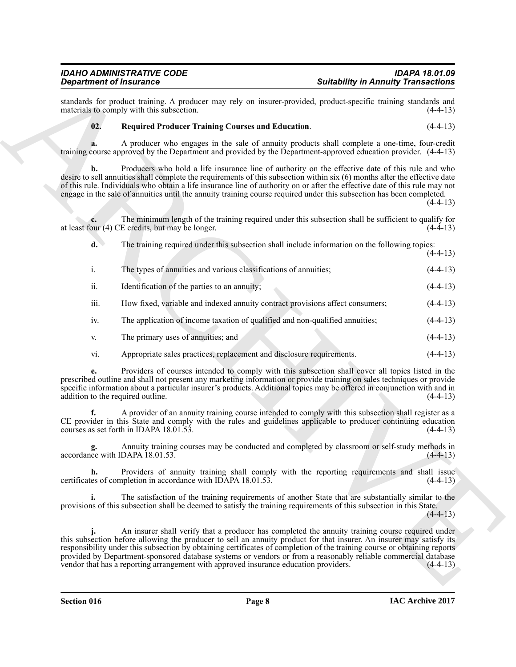### <span id="page-7-0"></span>**02. Required Producer Training Courses and Education**. (4-4-13)

| standards for product training. A producer may rely on insurer-provided, product-specific training standards and<br>02.<br><b>Required Producer Training Courses and Education.</b><br>a.<br>training course approved by the Department and provided by the Department-approved education provider. (4-4-13)<br>b.<br>desire to sell annuities shall complete the requirements of this subsection within six (6) months after the effective date<br>of this rule. Individuals who obtain a life insurance line of authority on or after the effective date of this rule may not<br>engage in the sale of annuities until the annuity training course required under this subsection has been completed.<br>d.<br>The training required under this subsection shall include information on the following topics:<br>i.<br>The types of annuities and various classifications of annuities;<br>ii.<br>Identification of the parties to an annuity;<br>iii.<br>How fixed, variable and indexed annuity contract provisions affect consumers;<br>The application of income taxation of qualified and non-qualified annuities;<br>iv.<br>The primary uses of annuities; and<br>V.<br>Appropriate sales practices, replacement and disclosure requirements.<br>vi.<br>e.<br>prescribed outline and shall not present any marketing information or provide training on sales techniques or provide<br>specific information about a particular insurer's products. Additional topics may be offered in conjunction with and in<br>f.<br>CE provider in this State and comply with the rules and guidelines applicable to producer continuing education<br>h.<br>certificates of completion in accordance with IDAPA 18.01.53.<br>i.<br>provisions of this subsection shall be deemed to satisfy the training requirements of this subsection in this State.<br>this subsection before allowing the producer to sell an annuity product for that insurer. An insurer may satisfy its<br>responsibility under this subsection by obtaining certificates of completion of the training course or obtaining reports<br>provided by Department-sponsored database systems or vendors or from a reasonably reliable commercial database | A producer who engages in the sale of annuity products shall complete a one-time, four-credit<br>Producers who hold a life insurance line of authority on the effective date of this rule and who<br>The minimum length of the training required under this subsection shall be sufficient to qualify for<br>Providers of courses intended to comply with this subsection shall cover all topics listed in the<br>A provider of an annuity training course intended to comply with this subsection shall register as a<br>Annuity training courses may be conducted and completed by classroom or self-study methods in<br>Providers of annuity training shall comply with the reporting requirements and shall issue<br>The satisfaction of the training requirements of another State that are substantially similar to the<br>An insurer shall verify that a producer has completed the annuity training course required under<br>vendor that has a reporting arrangement with approved insurance education providers. | <b>Department of Insurance</b>                   | <b>Suitability in Annuity Transactions</b> |
|---------------------------------------------------------------------------------------------------------------------------------------------------------------------------------------------------------------------------------------------------------------------------------------------------------------------------------------------------------------------------------------------------------------------------------------------------------------------------------------------------------------------------------------------------------------------------------------------------------------------------------------------------------------------------------------------------------------------------------------------------------------------------------------------------------------------------------------------------------------------------------------------------------------------------------------------------------------------------------------------------------------------------------------------------------------------------------------------------------------------------------------------------------------------------------------------------------------------------------------------------------------------------------------------------------------------------------------------------------------------------------------------------------------------------------------------------------------------------------------------------------------------------------------------------------------------------------------------------------------------------------------------------------------------------------------------------------------------------------------------------------------------------------------------------------------------------------------------------------------------------------------------------------------------------------------------------------------------------------------------------------------------------------------------------------------------------------------------------------------------------------------------------------------------------------------------------------------------------|---------------------------------------------------------------------------------------------------------------------------------------------------------------------------------------------------------------------------------------------------------------------------------------------------------------------------------------------------------------------------------------------------------------------------------------------------------------------------------------------------------------------------------------------------------------------------------------------------------------------------------------------------------------------------------------------------------------------------------------------------------------------------------------------------------------------------------------------------------------------------------------------------------------------------------------------------------------------------------------------------------------------------|--------------------------------------------------|--------------------------------------------|
|                                                                                                                                                                                                                                                                                                                                                                                                                                                                                                                                                                                                                                                                                                                                                                                                                                                                                                                                                                                                                                                                                                                                                                                                                                                                                                                                                                                                                                                                                                                                                                                                                                                                                                                                                                                                                                                                                                                                                                                                                                                                                                                                                                                                                           |                                                                                                                                                                                                                                                                                                                                                                                                                                                                                                                                                                                                                                                                                                                                                                                                                                                                                                                                                                                                                           | materials to comply with this subsection.        | $(4-4-13)$                                 |
|                                                                                                                                                                                                                                                                                                                                                                                                                                                                                                                                                                                                                                                                                                                                                                                                                                                                                                                                                                                                                                                                                                                                                                                                                                                                                                                                                                                                                                                                                                                                                                                                                                                                                                                                                                                                                                                                                                                                                                                                                                                                                                                                                                                                                           |                                                                                                                                                                                                                                                                                                                                                                                                                                                                                                                                                                                                                                                                                                                                                                                                                                                                                                                                                                                                                           |                                                  | $(4-4-13)$                                 |
|                                                                                                                                                                                                                                                                                                                                                                                                                                                                                                                                                                                                                                                                                                                                                                                                                                                                                                                                                                                                                                                                                                                                                                                                                                                                                                                                                                                                                                                                                                                                                                                                                                                                                                                                                                                                                                                                                                                                                                                                                                                                                                                                                                                                                           |                                                                                                                                                                                                                                                                                                                                                                                                                                                                                                                                                                                                                                                                                                                                                                                                                                                                                                                                                                                                                           |                                                  |                                            |
|                                                                                                                                                                                                                                                                                                                                                                                                                                                                                                                                                                                                                                                                                                                                                                                                                                                                                                                                                                                                                                                                                                                                                                                                                                                                                                                                                                                                                                                                                                                                                                                                                                                                                                                                                                                                                                                                                                                                                                                                                                                                                                                                                                                                                           |                                                                                                                                                                                                                                                                                                                                                                                                                                                                                                                                                                                                                                                                                                                                                                                                                                                                                                                                                                                                                           |                                                  | $(4-4-13)$                                 |
|                                                                                                                                                                                                                                                                                                                                                                                                                                                                                                                                                                                                                                                                                                                                                                                                                                                                                                                                                                                                                                                                                                                                                                                                                                                                                                                                                                                                                                                                                                                                                                                                                                                                                                                                                                                                                                                                                                                                                                                                                                                                                                                                                                                                                           |                                                                                                                                                                                                                                                                                                                                                                                                                                                                                                                                                                                                                                                                                                                                                                                                                                                                                                                                                                                                                           | at least four (4) CE credits, but may be longer. | $(4-4-13)$                                 |
|                                                                                                                                                                                                                                                                                                                                                                                                                                                                                                                                                                                                                                                                                                                                                                                                                                                                                                                                                                                                                                                                                                                                                                                                                                                                                                                                                                                                                                                                                                                                                                                                                                                                                                                                                                                                                                                                                                                                                                                                                                                                                                                                                                                                                           |                                                                                                                                                                                                                                                                                                                                                                                                                                                                                                                                                                                                                                                                                                                                                                                                                                                                                                                                                                                                                           |                                                  | $(4-4-13)$                                 |
|                                                                                                                                                                                                                                                                                                                                                                                                                                                                                                                                                                                                                                                                                                                                                                                                                                                                                                                                                                                                                                                                                                                                                                                                                                                                                                                                                                                                                                                                                                                                                                                                                                                                                                                                                                                                                                                                                                                                                                                                                                                                                                                                                                                                                           |                                                                                                                                                                                                                                                                                                                                                                                                                                                                                                                                                                                                                                                                                                                                                                                                                                                                                                                                                                                                                           |                                                  | $(4-4-13)$                                 |
|                                                                                                                                                                                                                                                                                                                                                                                                                                                                                                                                                                                                                                                                                                                                                                                                                                                                                                                                                                                                                                                                                                                                                                                                                                                                                                                                                                                                                                                                                                                                                                                                                                                                                                                                                                                                                                                                                                                                                                                                                                                                                                                                                                                                                           |                                                                                                                                                                                                                                                                                                                                                                                                                                                                                                                                                                                                                                                                                                                                                                                                                                                                                                                                                                                                                           |                                                  | $(4-4-13)$                                 |
|                                                                                                                                                                                                                                                                                                                                                                                                                                                                                                                                                                                                                                                                                                                                                                                                                                                                                                                                                                                                                                                                                                                                                                                                                                                                                                                                                                                                                                                                                                                                                                                                                                                                                                                                                                                                                                                                                                                                                                                                                                                                                                                                                                                                                           |                                                                                                                                                                                                                                                                                                                                                                                                                                                                                                                                                                                                                                                                                                                                                                                                                                                                                                                                                                                                                           |                                                  | $(4-4-13)$                                 |
|                                                                                                                                                                                                                                                                                                                                                                                                                                                                                                                                                                                                                                                                                                                                                                                                                                                                                                                                                                                                                                                                                                                                                                                                                                                                                                                                                                                                                                                                                                                                                                                                                                                                                                                                                                                                                                                                                                                                                                                                                                                                                                                                                                                                                           |                                                                                                                                                                                                                                                                                                                                                                                                                                                                                                                                                                                                                                                                                                                                                                                                                                                                                                                                                                                                                           |                                                  | $(4-4-13)$                                 |
|                                                                                                                                                                                                                                                                                                                                                                                                                                                                                                                                                                                                                                                                                                                                                                                                                                                                                                                                                                                                                                                                                                                                                                                                                                                                                                                                                                                                                                                                                                                                                                                                                                                                                                                                                                                                                                                                                                                                                                                                                                                                                                                                                                                                                           |                                                                                                                                                                                                                                                                                                                                                                                                                                                                                                                                                                                                                                                                                                                                                                                                                                                                                                                                                                                                                           |                                                  | $(4-4-13)$                                 |
|                                                                                                                                                                                                                                                                                                                                                                                                                                                                                                                                                                                                                                                                                                                                                                                                                                                                                                                                                                                                                                                                                                                                                                                                                                                                                                                                                                                                                                                                                                                                                                                                                                                                                                                                                                                                                                                                                                                                                                                                                                                                                                                                                                                                                           |                                                                                                                                                                                                                                                                                                                                                                                                                                                                                                                                                                                                                                                                                                                                                                                                                                                                                                                                                                                                                           |                                                  | $(4-4-13)$                                 |
|                                                                                                                                                                                                                                                                                                                                                                                                                                                                                                                                                                                                                                                                                                                                                                                                                                                                                                                                                                                                                                                                                                                                                                                                                                                                                                                                                                                                                                                                                                                                                                                                                                                                                                                                                                                                                                                                                                                                                                                                                                                                                                                                                                                                                           |                                                                                                                                                                                                                                                                                                                                                                                                                                                                                                                                                                                                                                                                                                                                                                                                                                                                                                                                                                                                                           | addition to the required outline.                | $(4-4-13)$                                 |
|                                                                                                                                                                                                                                                                                                                                                                                                                                                                                                                                                                                                                                                                                                                                                                                                                                                                                                                                                                                                                                                                                                                                                                                                                                                                                                                                                                                                                                                                                                                                                                                                                                                                                                                                                                                                                                                                                                                                                                                                                                                                                                                                                                                                                           |                                                                                                                                                                                                                                                                                                                                                                                                                                                                                                                                                                                                                                                                                                                                                                                                                                                                                                                                                                                                                           | courses as set forth in IDAPA 18.01.53.          | $(4-4-13)$                                 |
|                                                                                                                                                                                                                                                                                                                                                                                                                                                                                                                                                                                                                                                                                                                                                                                                                                                                                                                                                                                                                                                                                                                                                                                                                                                                                                                                                                                                                                                                                                                                                                                                                                                                                                                                                                                                                                                                                                                                                                                                                                                                                                                                                                                                                           |                                                                                                                                                                                                                                                                                                                                                                                                                                                                                                                                                                                                                                                                                                                                                                                                                                                                                                                                                                                                                           | accordance with IDAPA 18.01.53.                  | $(4-4-13)$                                 |
|                                                                                                                                                                                                                                                                                                                                                                                                                                                                                                                                                                                                                                                                                                                                                                                                                                                                                                                                                                                                                                                                                                                                                                                                                                                                                                                                                                                                                                                                                                                                                                                                                                                                                                                                                                                                                                                                                                                                                                                                                                                                                                                                                                                                                           |                                                                                                                                                                                                                                                                                                                                                                                                                                                                                                                                                                                                                                                                                                                                                                                                                                                                                                                                                                                                                           |                                                  | $(4-4-13)$                                 |
|                                                                                                                                                                                                                                                                                                                                                                                                                                                                                                                                                                                                                                                                                                                                                                                                                                                                                                                                                                                                                                                                                                                                                                                                                                                                                                                                                                                                                                                                                                                                                                                                                                                                                                                                                                                                                                                                                                                                                                                                                                                                                                                                                                                                                           |                                                                                                                                                                                                                                                                                                                                                                                                                                                                                                                                                                                                                                                                                                                                                                                                                                                                                                                                                                                                                           |                                                  | $(4-4-13)$                                 |
|                                                                                                                                                                                                                                                                                                                                                                                                                                                                                                                                                                                                                                                                                                                                                                                                                                                                                                                                                                                                                                                                                                                                                                                                                                                                                                                                                                                                                                                                                                                                                                                                                                                                                                                                                                                                                                                                                                                                                                                                                                                                                                                                                                                                                           |                                                                                                                                                                                                                                                                                                                                                                                                                                                                                                                                                                                                                                                                                                                                                                                                                                                                                                                                                                                                                           |                                                  | $(4-4-13)$                                 |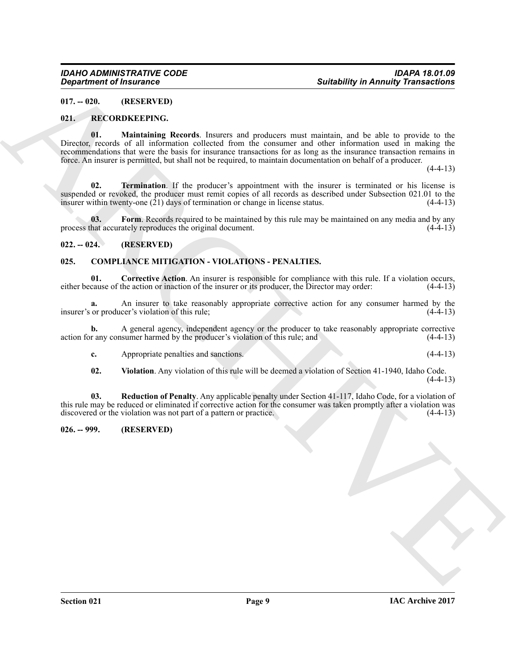### <span id="page-8-0"></span>**017. -- 020. (RESERVED)**

### <span id="page-8-11"></span><span id="page-8-9"></span><span id="page-8-1"></span>**021. RECORDKEEPING.**

**Supprime of Christmas Control Control Control Control Control Control Control Control Control Control Control Control Control Control Control Control Control Control Control Control Control Control Control Control Contro 01. Maintaining Records**. Insurers and producers must maintain, and be able to provide to the Director, records of all information collected from the consumer and other information used in making the recommendations that were the basis for insurance transactions for as long as the insurance transaction remains in force. An insurer is permitted, but shall not be required, to maintain documentation on behalf of a producer.

 $(4-4-13)$ 

<span id="page-8-12"></span>**02. Termination**. If the producer's appointment with the insurer is terminated or his license is suspended or revoked, the producer must remit copies of all records as described under Subsection 021.01 to the insurer within twenty-one (21) days of termination or change in license status. (4-4-13) insurer within twenty-one  $(21)$  days of termination or change in license status.

<span id="page-8-10"></span>**03.** Form Records required to be maintained by this rule may be maintained on any media and by any process that accurately reproduces the original document. (4-4-13)

### <span id="page-8-2"></span>**022. -- 024. (RESERVED)**

### <span id="page-8-5"></span><span id="page-8-3"></span>**025. COMPLIANCE MITIGATION - VIOLATIONS - PENALTIES.**

<span id="page-8-6"></span>**01.** Corrective Action. An insurer is responsible for compliance with this rule. If a violation occurs, cause of the action or inaction of the insurer or its producer, the Director may order:  $(4-4-13)$ either because of the action or inaction of the insurer or its producer, the Director may order:

**a.** An insurer to take reasonably appropriate corrective action for any consumer harmed by the or producer's violation of this rule:  $(4-4-13)$ insurer's or producer's violation of this rule;

**b.** A general agency, independent agency or the producer to take reasonably appropriate corrective r any consumer harmed by the producer's violation of this rule; and (4-4-13) action for any consumer harmed by the producer's violation of this rule; and

**c.** Appropriate penalties and sanctions. (4-4-13)

<span id="page-8-8"></span><span id="page-8-7"></span>**02. Violation**. Any violation of this rule will be deemed a violation of Section 41-1940, Idaho Code.

 $(4-4-13)$ 

**03. Reduction of Penalty**. Any applicable penalty under Section 41-117, Idaho Code, for a violation of this rule may be reduced or eliminated if corrective action for the consumer was taken promptly after a violation was discovered or the violation was not part of a pattern or practice. (4-4-13) discovered or the violation was not part of a pattern or practice.

### <span id="page-8-4"></span>**026. -- 999. (RESERVED)**